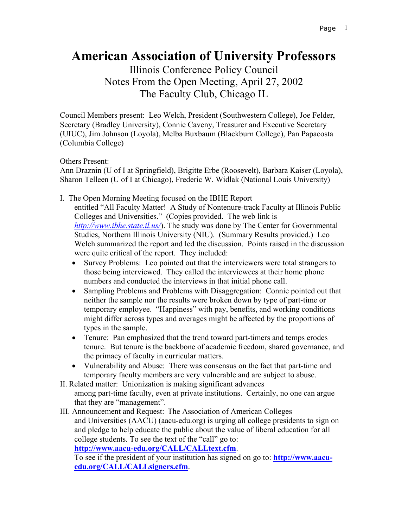## **American Association of University Professors**

Illinois Conference Policy Council Notes From the Open Meeting, April 27, 2002 The Faculty Club, Chicago IL

Council Members present: Leo Welch, President (Southwestern College), Joe Felder, Secretary (Bradley University), Connie Caveny, Treasurer and Executive Secretary (UIUC), Jim Johnson (Loyola), Melba Buxbaum (Blackburn College), Pan Papacosta (Columbia College)

Others Present:

Ann Draznin (U of I at Springfield), Brigitte Erbe (Roosevelt), Barbara Kaiser (Loyola), Sharon Telleen (U of I at Chicago), Frederic W. Widlak (National Louis University)

I. The Open Morning Meeting focused on the IBHE Report

entitled "All Faculty Matter! A Study of Nontenure-track Faculty at Illinois Public Colleges and Universities." (Copies provided. The web link is *<http://www.ibhe.state.il.us/>*). The study was done by The Center for Governmental Studies, Northern Illinois University (NIU). (Summary Results provided.) Leo Welch summarized the report and led the discussion. Points raised in the discussion were quite critical of the report. They included:

- Survey Problems: Leo pointed out that the interviewers were total strangers to those being interviewed. They called the interviewees at their home phone numbers and conducted the interviews in that initial phone call.
- Sampling Problems and Problems with Disaggregation: Connie pointed out that neither the sample nor the results were broken down by type of part-time or temporary employee. "Happiness" with pay, benefits, and working conditions might differ across types and averages might be affected by the proportions of types in the sample.
- Tenure: Pan emphasized that the trend toward part-timers and temps erodes tenure. But tenure is the backbone of academic freedom, shared governance, and the primacy of faculty in curricular matters.
- Vulnerability and Abuse: There was consensus on the fact that part-time and temporary faculty members are very vulnerable and are subject to abuse.
- II. Related matter: Unionization is making significant advances among part-time faculty, even at private institutions. Certainly, no one can argue that they are "management".
- III. Announcement and Request: The Association of American Colleges and Universities (AACU) (aacu-edu.org) is urging all college presidents to sign on and pledge to help educate the public about the value of liberal education for all college students. To see the text of the "call" go to: **<http://www.aacu-edu.org/CALL/CALLtext.cfm>**.

To see if the president of your institution has signed on go to: **[http://www.aacu](http://www.aacu-edu.org/CALL/CALLsigners.cfm)[edu.org/CALL/CALLsigners.cfm](http://www.aacu-edu.org/CALL/CALLsigners.cfm)**.